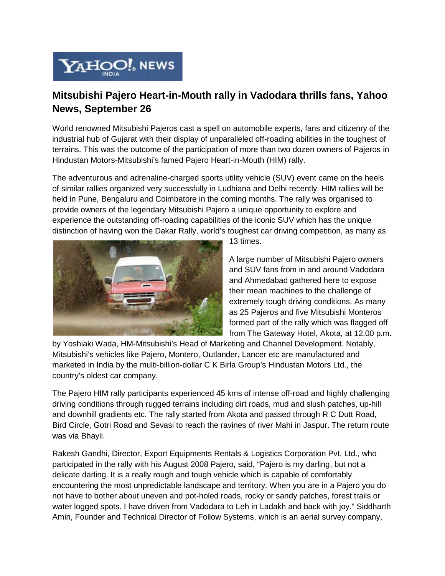

## **Mitsubishi Pajero Heart-in-Mouth rally in Vadodara thrills fans, Yahoo News, September 26**

World renowned Mitsubishi Pajeros cast a spell on automobile experts, fans and citizenry of the industrial hub of Gujarat with their display of unparalleled off-roading abilities in the toughest of terrains. This was the outcome of the participation of more than two dozen owners of Pajeros in Hindustan Motors-Mitsubishi's famed Pajero Heart-in-Mouth (HIM) rally.

The adventurous and adrenaline-charged sports utility vehicle (SUV) event came on the heels of similar rallies organized very successfully in Ludhiana and Delhi recently. HIM rallies will be held in Pune, Bengaluru and Coimbatore in the coming months. The rally was organised to provide owners of the legendary Mitsubishi Pajero a unique opportunity to explore and experience the outstanding off-roading capabilities of the iconic SUV which has the unique distinction of having won the Dakar Rally, world's toughest car driving competition, as many as



13 times.

A large number of Mitsubishi Pajero owners and SUV fans from in and around Vadodara and Ahmedabad gathered here to expose their mean machines to the challenge of extremely tough driving conditions. As many as 25 Pajeros and five Mitsubishi Monteros formed part of the rally which was flagged off from The Gateway Hotel, Akota, at 12.00 p.m.

by Yoshiaki Wada, HM-Mitsubishi's Head of Marketing and Channel Development. Notably, Mitsubishi's vehicles like Pajero, Montero, Outlander, Lancer etc are manufactured and marketed in India by the multi-billion-dollar C K Birla Group's Hindustan Motors Ltd., the country's oldest car company.

The Pajero HIM rally participants experienced 45 kms of intense off-road and highly challenging driving conditions through rugged terrains including dirt roads, mud and slush patches, up-hill and downhill gradients etc. The rally started from Akota and passed through R C Dutt Road, Bird Circle, Gotri Road and Sevasi to reach the ravines of river Mahi in Jaspur. The return route was via Bhayli.

Rakesh Gandhi, Director, Export Equipments Rentals & Logistics Corporation Pvt. Ltd., who participated in the rally with his August 2008 Pajero, said, "Pajero is my darling, but not a delicate darling. It is a really rough and tough vehicle which is capable of comfortably encountering the most unpredictable landscape and territory. When you are in a Pajero you do not have to bother about uneven and pot-holed roads, rocky or sandy patches, forest trails or water logged spots. I have driven from Vadodara to Leh in Ladakh and back with joy." Siddharth Amin, Founder and Technical Director of Follow Systems, which is an aerial survey company,